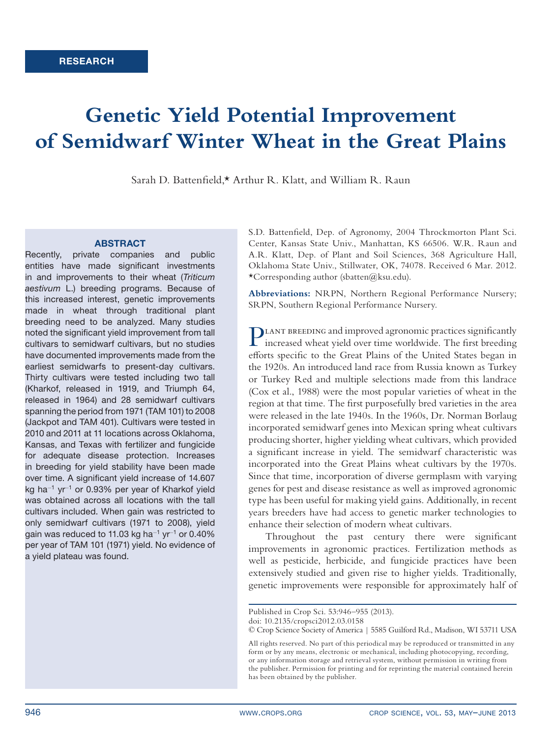# **Genetic Yield Potential Improvement of Semidwarf Winter Wheat in the Great Plains**

Sarah D. Battenfield,\* Arthur R. Klatt, and William R. Raun

#### ABSTRACT

Recently, private companies and public entities have made significant investments in and improvements to their wheat (*Triticum aestivum* L.) breeding programs. Because of this increased interest, genetic improvements made in wheat through traditional plant breeding need to be analyzed. Many studies noted the significant yield improvement from tall cultivars to semidwarf cultivars, but no studies have documented improvements made from the earliest semidwarfs to present-day cultivars. Thirty cultivars were tested including two tall (Kharkof, released in 1919, and Triumph 64, released in 1964) and 28 semidwarf cultivars spanning the period from 1971 (TAM 101) to 2008 (Jackpot and TAM 401). Cultivars were tested in 2010 and 2011 at 11 locations across Oklahoma, Kansas, and Texas with fertilizer and fungicide for adequate disease protection. Increases in breeding for yield stability have been made over time. A significant yield increase of 14.607 kg ha<sup>-1</sup> yr<sup>-1</sup> or 0.93% per year of Kharkof yield was obtained across all locations with the tall cultivars included. When gain was restricted to only semidwarf cultivars (1971 to 2008), yield gain was reduced to 11.03 kg ha $^{-1}$  yr $^{-1}$  or 0.40% per year of TAM 101 (1971) yield. No evidence of a yield plateau was found.

S.D. Battenfield, Dep. of Agronomy, 2004 Throckmorton Plant Sci. Center, Kansas State Univ., Manhattan, KS 66506. W.R. Raun and A.R. Klatt, Dep. of Plant and Soil Sciences, 368 Agriculture Hall, Oklahoma State Univ., Stillwater, OK, 74078. Received 6 Mar. 2012. \*Corresponding author (sbatten@ksu.edu).

**Abbreviations:** NRPN, Northern Regional Performance Nursery; SRPN, Southern Regional Performance Nursery.

**PLANT BREEDING and improved agronomic practices significantly** increased wheat yield over time worldwide. The first breeding efforts specific to the Great Plains of the United States began in the 1920s. An introduced land race from Russia known as Turkey or Turkey Red and multiple selections made from this landrace (Cox et al., 1988) were the most popular varieties of wheat in the region at that time. The first purposefully bred varieties in the area were released in the late 1940s. In the 1960s, Dr. Norman Borlaug incorporated semidwarf genes into Mexican spring wheat cultivars producing shorter, higher yielding wheat cultivars, which provided a significant increase in yield. The semidwarf characteristic was incorporated into the Great Plains wheat cultivars by the 1970s. Since that time, incorporation of diverse germplasm with varying genes for pest and disease resistance as well as improved agronomic type has been useful for making yield gains. Additionally, in recent years breeders have had access to genetic marker technologies to enhance their selection of modern wheat cultivars.

Throughout the past century there were significant improvements in agronomic practices. Fertilization methods as well as pesticide, herbicide, and fungicide practices have been extensively studied and given rise to higher yields. Traditionally, genetic improvements were responsible for approximately half of

Published in Crop Sci. 53:946–955 (2013).

doi: 10.2135/cropsci2012.03.0158

<sup>©</sup> Crop Science Society of America | 5585 Guilford Rd., Madison, WI 53711 USA

All rights reserved. No part of this periodical may be reproduced or transmitted in any form or by any means, electronic or mechanical, including photocopying, recording, or any information storage and retrieval system, without permission in writing from the publisher. Permission for printing and for reprinting the material contained herein has been obtained by the publisher.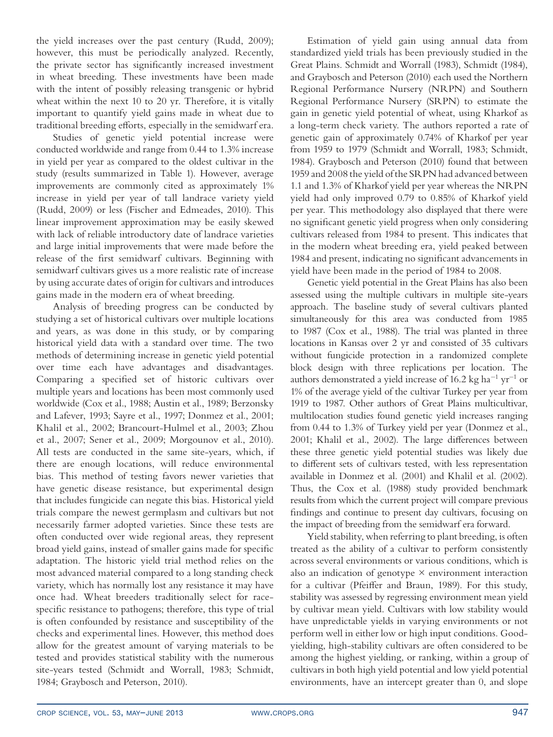the yield increases over the past century (Rudd, 2009); however, this must be periodically analyzed. Recently, the private sector has significantly increased investment in wheat breeding. These investments have been made with the intent of possibly releasing transgenic or hybrid wheat within the next 10 to 20 yr. Therefore, it is vitally important to quantify yield gains made in wheat due to traditional breeding efforts, especially in the semidwarf era.

Studies of genetic yield potential increase were conducted worldwide and range from 0.44 to 1.3% increase in yield per year as compared to the oldest cultivar in the study (results summarized in Table 1). However, average improvements are commonly cited as approximately 1% increase in yield per year of tall landrace variety yield (Rudd, 2009) or less (Fischer and Edmeades, 2010). This linear improvement approximation may be easily skewed with lack of reliable introductory date of landrace varieties and large initial improvements that were made before the release of the first semidwarf cultivars. Beginning with semidwarf cultivars gives us a more realistic rate of increase by using accurate dates of origin for cultivars and introduces gains made in the modern era of wheat breeding.

Analysis of breeding progress can be conducted by studying a set of historical cultivars over multiple locations and years, as was done in this study, or by comparing historical yield data with a standard over time. The two methods of determining increase in genetic yield potential over time each have advantages and disadvantages. Comparing a specified set of historic cultivars over multiple years and locations has been most commonly used worldwide (Cox et al., 1988; Austin et al., 1989; Berzonsky and Lafever, 1993; Sayre et al., 1997; Donmez et al., 2001; Khalil et al., 2002; Brancourt-Hulmel et al., 2003; Zhou et al., 2007; Sener et al., 2009; Morgounov et al., 2010). All tests are conducted in the same site-years, which, if there are enough locations, will reduce environmental bias. This method of testing favors newer varieties that have genetic disease resistance, but experimental design that includes fungicide can negate this bias. Historical yield trials compare the newest germplasm and cultivars but not necessarily farmer adopted varieties. Since these tests are often conducted over wide regional areas, they represent broad yield gains, instead of smaller gains made for specific adaptation. The historic yield trial method relies on the most advanced material compared to a long standing check variety, which has normally lost any resistance it may have once had. Wheat breeders traditionally select for racespecific resistance to pathogens; therefore, this type of trial is often confounded by resistance and susceptibility of the checks and experimental lines. However, this method does allow for the greatest amount of varying materials to be tested and provides statistical stability with the numerous site-years tested (Schmidt and Worrall, 1983; Schmidt, 1984; Graybosch and Peterson, 2010).

Estimation of yield gain using annual data from standardized yield trials has been previously studied in the Great Plains. Schmidt and Worrall (1983), Schmidt (1984), and Graybosch and Peterson (2010) each used the Northern Regional Performance Nursery (NRPN) and Southern Regional Performance Nursery (SRPN) to estimate the gain in genetic yield potential of wheat, using Kharkof as a long-term check variety. The authors reported a rate of genetic gain of approximately 0.74% of Kharkof per year from 1959 to 1979 (Schmidt and Worrall, 1983; Schmidt, 1984). Graybosch and Peterson (2010) found that between 1959 and 2008 the yield of the SRPN had advanced between 1.1 and 1.3% of Kharkof yield per year whereas the NRPN yield had only improved 0.79 to 0.85% of Kharkof yield per year. This methodology also displayed that there were no significant genetic yield progress when only considering cultivars released from 1984 to present. This indicates that in the modern wheat breeding era, yield peaked between 1984 and present, indicating no significant advancements in yield have been made in the period of 1984 to 2008.

Genetic yield potential in the Great Plains has also been assessed using the multiple cultivars in multiple site-years approach. The baseline study of several cultivars planted simultaneously for this area was conducted from 1985 to 1987 (Cox et al., 1988). The trial was planted in three locations in Kansas over 2 yr and consisted of 35 cultivars without fungicide protection in a randomized complete block design with three replications per location. The authors demonstrated a yield increase of 16.2 kg ha $^{-1}$  yr $^{-1}$  or 1% of the average yield of the cultivar Turkey per year from 1919 to 1987. Other authors of Great Plains multicultivar, multilocation studies found genetic yield increases ranging from 0.44 to 1.3% of Turkey yield per year (Donmez et al., 2001; Khalil et al., 2002). The large differences between these three genetic yield potential studies was likely due to different sets of cultivars tested, with less representation available in Donmez et al. (2001) and Khalil et al. (2002). Thus, the Cox et al. (1988) study provided benchmark results from which the current project will compare previous findings and continue to present day cultivars, focusing on the impact of breeding from the semidwarf era forward.

Yield stability, when referring to plant breeding, is often treated as the ability of a cultivar to perform consistently across several environments or various conditions, which is also an indication of genotype  $\times$  environment interaction for a cultivar (Pfeiffer and Braun, 1989). For this study, stability was assessed by regressing environment mean yield by cultivar mean yield. Cultivars with low stability would have unpredictable yields in varying environments or not perform well in either low or high input conditions. Goodyielding, high-stability cultivars are often considered to be among the highest yielding, or ranking, within a group of cultivars in both high yield potential and low yield potential environments, have an intercept greater than 0, and slope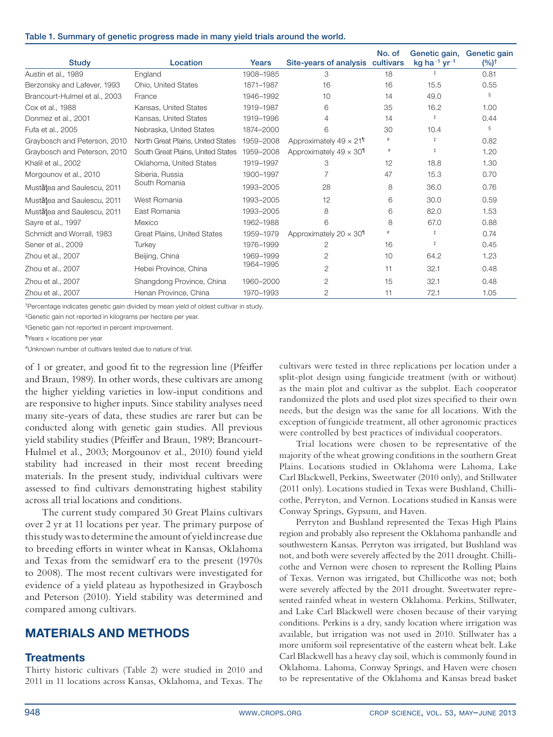#### Table 1. Summary of genetic progress made in many yield trials around the world.

| <b>Study</b>                  | Location                          | Years     | Site-years of analysis cultivars           | No. of          | Genetic gain, Genetic gain<br>$kg$ ha <sup>-1</sup> yr <sup>-1</sup> | $(%)^{\dagger}$ |
|-------------------------------|-----------------------------------|-----------|--------------------------------------------|-----------------|----------------------------------------------------------------------|-----------------|
| Austin et al., 1989           | England                           | 1908-1985 | 3                                          | 18              |                                                                      | 0.81            |
| Berzonsky and Lafever, 1993   | Ohio, United States               | 1871-1987 | 16                                         | 16              | 15.5                                                                 | 0.55            |
| Brancourt-Hulmel et al., 2003 | France                            | 1946-1992 | 10                                         | 14              | 49.0                                                                 | ş               |
| Cox et al., 1988              | Kansas, United States             | 1919-1987 | 6                                          | 35              | 16.2                                                                 | 1.00            |
| Donmez et al., 2001           | Kansas, United States             | 1919-1996 | 4                                          | 14              | $\pm$                                                                | 0.44            |
| Fufa et al., 2005             | Nebraska, United States           | 1874-2000 | 6                                          | 30              | 10.4                                                                 | ş               |
| Graybosch and Peterson, 2010  | North Great Plains, United States | 1959-2008 | Approximately $49 \times 21$ <sup>1</sup>  | #               | $\ddagger$                                                           | 0.82            |
| Graybosch and Peterson, 2010  | South Great Plains, United States | 1959-2008 | Approximately $49 \times 30$ <sup>11</sup> | #               | $\pm$                                                                | 1.20            |
| Khalil et al., 2002           | Oklahoma, United States           | 1919-1997 | 3                                          | 12              | 18.8                                                                 | 1.30            |
| Morgounov et al., 2010        | Siberia, Russia                   | 1900-1997 |                                            | 47              | 15.3                                                                 | 0.70            |
| Mustățea and Saulescu, 2011   | South Romania                     | 1993-2005 | 28                                         | 8               | 36.0                                                                 | 0.76            |
| Mustățea and Saulescu, 2011   | West Romania                      | 1993-2005 | 12                                         | 6               | 30.0                                                                 | 0.59            |
| Mustățea and Saulescu, 2011   | East Romania                      | 1993-2005 | 8                                          | 6               | 82.0                                                                 | 1.53            |
| Sayre et al., 1997            | Mexico                            | 1962-1988 | 6                                          | 8               | 67.0                                                                 | 0.88            |
| Schmidt and Worrall, 1983     | Great Plains, United States       | 1959-1979 | Approximately $20 \times 30$ <sup>11</sup> | #               | $\ddagger$                                                           | 0.74            |
| Sener et al., 2009            | Turkey                            | 1976-1999 | 2                                          | 16              | $\pm$                                                                | 0.45            |
| Zhou et al., 2007             | Beijing, China                    | 1969-1999 | 2                                          | 10 <sup>1</sup> | 64.2                                                                 | 1.23            |
| Zhou et al., 2007             | Hebei Province, China             | 1964-1995 | 2                                          | 11              | 32.1                                                                 | 0.48            |
| Zhou et al., 2007             | Shangdong Province, China         | 1960-2000 | $\overline{2}$                             | 15              | 32.1                                                                 | 0.48            |
| Zhou et al., 2007             | Henan Province, China             | 1970-1993 | 2                                          | 11              | 72.1                                                                 | 1.05            |

†Percentage indicates genetic gain divided by mean yield of oldest cultivar in study.

‡Genetic gain not reported in kilograms per hectare per year.

§Genetic gain not reported in percent improvement.

¶Years × locations per year

#Unknown number of cultivars tested due to nature of trial.

of 1 or greater, and good fit to the regression line (Pfeiffer and Braun, 1989). In other words, these cultivars are among the higher yielding varieties in low-input conditions and are responsive to higher inputs. Since stability analyses need many site-years of data, these studies are rarer but can be conducted along with genetic gain studies. All previous yield stability studies (Pfeiffer and Braun, 1989; Brancourt-Hulmel et al., 2003; Morgounov et al., 2010) found yield stability had increased in their most recent breeding materials. In the present study, individual cultivars were assessed to find cultivars demonstrating highest stability across all trial locations and conditions.

The current study compared 30 Great Plains cultivars over 2 yr at 11 locations per year. The primary purpose of this study was to determine the amount of yield increase due to breeding efforts in winter wheat in Kansas, Oklahoma and Texas from the semidwarf era to the present (1970s to 2008). The most recent cultivars were investigated for evidence of a yield plateau as hypothesized in Graybosch and Peterson (2010). Yield stability was determined and compared among cultivars.

## MATERIALS AND METHODS

#### **Treatments**

Thirty historic cultivars (Table 2) were studied in 2010 and 2011 in 11 locations across Kansas, Oklahoma, and Texas. The

cultivars were tested in three replications per location under a split-plot design using fungicide treatment (with or without) as the main plot and cultivar as the subplot. Each cooperator randomized the plots and used plot sizes specified to their own needs, but the design was the same for all locations. With the exception of fungicide treatment, all other agronomic practices were controlled by best practices of individual cooperators.

Trial locations were chosen to be representative of the majority of the wheat growing conditions in the southern Great Plains. Locations studied in Oklahoma were Lahoma, Lake Carl Blackwell, Perkins, Sweetwater (2010 only), and Stillwater (2011 only). Locations studied in Texas were Bushland, Chillicothe, Perryton, and Vernon. Locations studied in Kansas were Conway Springs, Gypsum, and Haven.

Perryton and Bushland represented the Texas High Plains region and probably also represent the Oklahoma panhandle and southwestern Kansas. Perryton was irrigated, but Bushland was not, and both were severely affected by the 2011 drought. Chillicothe and Vernon were chosen to represent the Rolling Plains of Texas. Vernon was irrigated, but Chillicothe was not; both were severely affected by the 2011 drought. Sweetwater represented rainfed wheat in western Oklahoma. Perkins, Stillwater, and Lake Carl Blackwell were chosen because of their varying conditions. Perkins is a dry, sandy location where irrigation was available, but irrigation was not used in 2010. Stillwater has a more uniform soil representative of the eastern wheat belt. Lake Carl Blackwell has a heavy clay soil, which is commonly found in Oklahoma. Lahoma, Conway Springs, and Haven were chosen to be representative of the Oklahoma and Kansas bread basket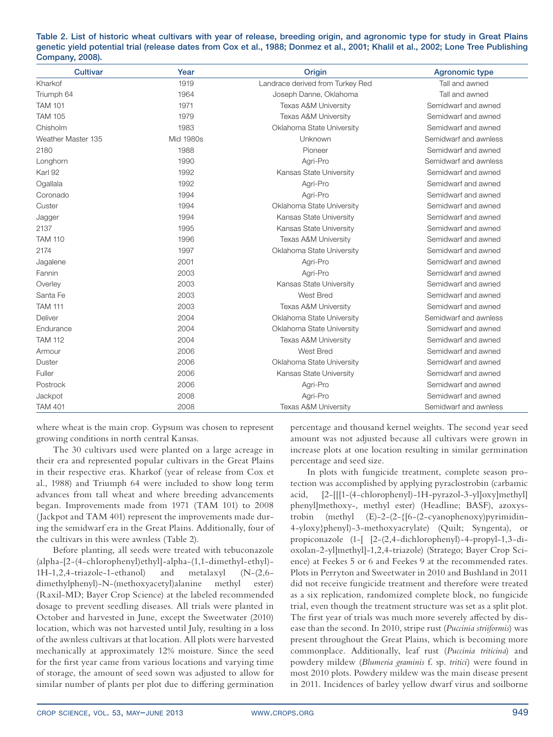Table 2. List of historic wheat cultivars with year of release, breeding origin, and agronomic type for study in Great Plains genetic yield potential trial (release dates from Cox et al., 1988; Donmez et al., 2001; Khalil et al., 2002; Lone Tree Publishing Company, 2008).

| <b>Cultivar</b>    | Year             | Origin                           | <b>Agronomic type</b> |
|--------------------|------------------|----------------------------------|-----------------------|
| Kharkof            | 1919             | Landrace derived from Turkey Red | Tall and awned        |
| Triumph 64         | 1964             | Joseph Danne, Oklahoma           | Tall and awned        |
| <b>TAM 101</b>     | 1971             | <b>Texas A&amp;M University</b>  | Semidwarf and awned   |
| <b>TAM 105</b>     | 1979             | Texas A&M University             | Semidwarf and awned   |
| Chisholm           | 1983             | Oklahoma State University        | Semidwarf and awned   |
| Weather Master 135 | <b>Mid 1980s</b> | Unknown                          | Semidwarf and awnless |
| 2180               | 1988             | Pioneer                          | Semidwarf and awned   |
| Longhorn           | 1990             | Agri-Pro                         | Semidwarf and awnless |
| Karl 92            | 1992             | Kansas State University          | Semidwarf and awned   |
| Ogallala           | 1992             | Agri-Pro                         | Semidwarf and awned   |
| Coronado           | 1994             | Agri-Pro                         | Semidwarf and awned   |
| Custer             | 1994             | Oklahoma State University        | Semidwarf and awned   |
| Jagger             | 1994             | Kansas State University          | Semidwarf and awned   |
| 2137               | 1995             | Kansas State University          | Semidwarf and awned   |
| <b>TAM 110</b>     | 1996             | <b>Texas A&amp;M University</b>  | Semidwarf and awned   |
| 2174               | 1997             | Oklahoma State University        | Semidwarf and awned   |
| Jagalene           | 2001             | Agri-Pro                         | Semidwarf and awned   |
| Fannin             | 2003             | Agri-Pro                         | Semidwarf and awned   |
| Overley            | 2003             | Kansas State University          | Semidwarf and awned   |
| Santa Fe           | 2003             | West Bred                        | Semidwarf and awned   |
| <b>TAM 111</b>     | 2003             | <b>Texas A&amp;M University</b>  | Semidwarf and awned   |
| Deliver            | 2004             | Oklahoma State University        | Semidwarf and awnless |
| Endurance          | 2004             | Oklahoma State University        | Semidwarf and awned   |
| <b>TAM 112</b>     | 2004             | Texas A&M University             | Semidwarf and awned   |
| Armour             | 2006             | West Bred                        | Semidwarf and awned   |
| Duster             | 2006             | Oklahoma State University        | Semidwarf and awned   |
| Fuller             | 2006             | Kansas State University          | Semidwarf and awned   |
| Postrock           | 2006             | Agri-Pro                         | Semidwarf and awned   |
| Jackpot            | 2008             | Agri-Pro                         | Semidwarf and awned   |
| <b>TAM 401</b>     | 2008             | <b>Texas A&amp;M University</b>  | Semidwarf and awnless |

where wheat is the main crop. Gypsum was chosen to represent growing conditions in north central Kansas.

The 30 cultivars used were planted on a large acreage in their era and represented popular cultivars in the Great Plains in their respective eras. Kharkof (year of release from Cox et al., 1988) and Triumph 64 were included to show long term advances from tall wheat and where breeding advancements began. Improvements made from 1971 (TAM 101) to 2008 (Jackpot and TAM 401) represent the improvements made during the semidwarf era in the Great Plains. Additionally, four of the cultivars in this were awnless (Table 2).

Before planting, all seeds were treated with tebuconazole (alpha-[2-(4-chlorophenyl)ethyl]-alpha-(1,1-dimethyl-ethyl)- 1H-1,2,4-triazole-1-ethanol) and metalaxyl (N-(2,6 dimethylphenyl)-N-(methoxyacetyl)alanine methyl ester) (Raxil-MD; Bayer Crop Science) at the labeled recommended dosage to prevent seedling diseases. All trials were planted in October and harvested in June, except the Sweetwater (2010) location, which was not harvested until July, resulting in a loss of the awnless cultivars at that location. All plots were harvested mechanically at approximately 12% moisture. Since the seed for the first year came from various locations and varying time of storage, the amount of seed sown was adjusted to allow for similar number of plants per plot due to differing germination

percentage and thousand kernel weights. The second year seed amount was not adjusted because all cultivars were grown in increase plots at one location resulting in similar germination percentage and seed size.

In plots with fungicide treatment, complete season protection was accomplished by applying pyraclostrobin (carbamic acid, [2-[[[1-(4-chlorophenyl)-1H-pyrazol-3-yl]oxy]methyl] phenyl]methoxy-, methyl ester) (Headline; BASF), azoxystrobin (methyl (E)-2-(2-{[6-(2-cyanophenoxy)pyrimidin-4-yloxy}phenyl)-3-methoxyacrylate) (Quilt; Syngenta), or propiconazole (1-[ [2-(2,4-dichlorophenyl)-4-propyl-1,3-dioxolan-2-yl]methyl]-1,2,4-triazole) (Stratego; Bayer Crop Science) at Feekes 5 or 6 and Feekes 9 at the recommended rates. Plots in Perryton and Sweetwater in 2010 and Bushland in 2011 did not receive fungicide treatment and therefore were treated as a six replication, randomized complete block, no fungicide trial, even though the treatment structure was set as a split plot. The first year of trials was much more severely affected by disease than the second. In 2010, stripe rust (*Puccinia striiformis*) was present throughout the Great Plains, which is becoming more commonplace. Additionally, leaf rust (*Puccinia triticina*) and powdery mildew (*Blumeria graminis* f. sp. *tritici*) were found in most 2010 plots. Powdery mildew was the main disease present in 2011. Incidences of barley yellow dwarf virus and soilborne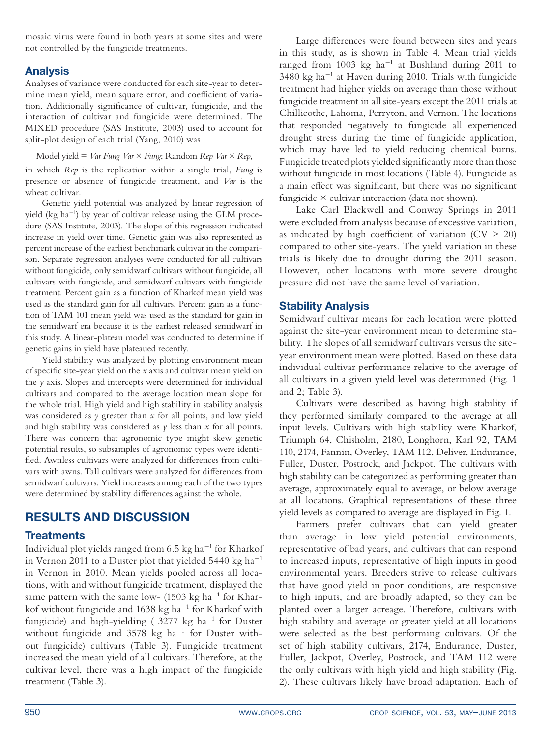mosaic virus were found in both years at some sites and were not controlled by the fungicide treatments.

## Analysis

Analyses of variance were conducted for each site-year to determine mean yield, mean square error, and coefficient of variation. Additionally significance of cultivar, fungicide, and the interaction of cultivar and fungicide were determined. The MIXED procedure (SAS Institute, 2003) used to account for split-plot design of each trial (Yang, 2010) was

Model yield = *Var Fung Var* × *Fung*; Random *Rep Var* × *Rep*,

in which *Rep* is the replication within a single trial, *Fung* is presence or absence of fungicide treatment, and *Var* is the wheat cultivar.

Genetic yield potential was analyzed by linear regression of yield (kg ha<sup>-1</sup>) by year of cultivar release using the GLM procedure (SAS Institute, 2003). The slope of this regression indicated increase in yield over time. Genetic gain was also represented as percent increase of the earliest benchmark cultivar in the comparison. Separate regression analyses were conducted for all cultivars without fungicide, only semidwarf cultivars without fungicide, all cultivars with fungicide, and semidwarf cultivars with fungicide treatment. Percent gain as a function of Kharkof mean yield was used as the standard gain for all cultivars. Percent gain as a function of TAM 101 mean yield was used as the standard for gain in the semidwarf era because it is the earliest released semidwarf in this study. A linear-plateau model was conducted to determine if genetic gains in yield have plateaued recently.

Yield stability was analyzed by plotting environment mean of specific site-year yield on the *x* axis and cultivar mean yield on the *y* axis. Slopes and intercepts were determined for individual cultivars and compared to the average location mean slope for the whole trial. High yield and high stability in stability analysis was considered as *y* greater than *x* for all points, and low yield and high stability was considered as  $\gamma$  less than  $x$  for all points. There was concern that agronomic type might skew genetic potential results, so subsamples of agronomic types were identified. Awnless cultivars were analyzed for differences from cultivars with awns. Tall cultivars were analyzed for differences from semidwarf cultivars. Yield increases among each of the two types were determined by stability differences against the whole.

# RESULTS AND DISCUSSION

# **Treatments**

Individual plot yields ranged from 6.5 kg ha<sup>-1</sup> for Kharkof in Vernon 2011 to a Duster plot that yielded  $5440 \text{ kg ha}^{-1}$ in Vernon in 2010. Mean yields pooled across all locations, with and without fungicide treatment, displayed the same pattern with the same low- (1503  $kg$  ha $^{-1}$  for Kharkof without fungicide and  $1638 \text{ kg} \text{ ha}^{-1}$  for Kharkof with fungicide) and high-yielding ( $3277 \text{ kg}$  ha<sup>-1</sup> for Duster without fungicide and  $3578 \text{ kg}$  ha<sup>-1</sup> for Duster without fungicide) cultivars (Table 3). Fungicide treatment increased the mean yield of all cultivars. Therefore, at the cultivar level, there was a high impact of the fungicide treatment (Table 3).

Large differences were found between sites and years in this study, as is shown in Table 4. Mean trial yields ranged from  $1003 \text{ kg} \text{ ha}^{-1}$  at Bushland during  $2011 \text{ to}$ 3480 kg ha<sup>-1</sup> at Haven during 2010. Trials with fungicide treatment had higher yields on average than those without fungicide treatment in all site-years except the 2011 trials at Chillicothe, Lahoma, Perryton, and Vernon. The locations that responded negatively to fungicide all experienced drought stress during the time of fungicide application, which may have led to yield reducing chemical burns. Fungicide treated plots yielded significantly more than those without fungicide in most locations (Table 4). Fungicide as a main effect was significant, but there was no significant fungicide  $\times$  cultivar interaction (data not shown).

Lake Carl Blackwell and Conway Springs in 2011 were excluded from analysis because of excessive variation, as indicated by high coefficient of variation  $(CV > 20)$ compared to other site-years. The yield variation in these trials is likely due to drought during the 2011 season. However, other locations with more severe drought pressure did not have the same level of variation.

#### Stability Analysis

Semidwarf cultivar means for each location were plotted against the site-year environment mean to determine stability. The slopes of all semidwarf cultivars versus the siteyear environment mean were plotted. Based on these data individual cultivar performance relative to the average of all cultivars in a given yield level was determined (Fig. 1 and 2; Table 3).

Cultivars were described as having high stability if they performed similarly compared to the average at all input levels. Cultivars with high stability were Kharkof, Triumph 64, Chisholm, 2180, Longhorn, Karl 92, TAM 110, 2174, Fannin, Overley, TAM 112, Deliver, Endurance, Fuller, Duster, Postrock, and Jackpot. The cultivars with high stability can be categorized as performing greater than average, approximately equal to average, or below average at all locations. Graphical representations of these three yield levels as compared to average are displayed in Fig. 1.

Farmers prefer cultivars that can yield greater than average in low yield potential environments, representative of bad years, and cultivars that can respond to increased inputs, representative of high inputs in good environmental years. Breeders strive to release cultivars that have good yield in poor conditions, are responsive to high inputs, and are broadly adapted, so they can be planted over a larger acreage. Therefore, cultivars with high stability and average or greater yield at all locations were selected as the best performing cultivars. Of the set of high stability cultivars, 2174, Endurance, Duster, Fuller, Jackpot, Overley, Postrock, and TAM 112 were the only cultivars with high yield and high stability (Fig. 2). These cultivars likely have broad adaptation. Each of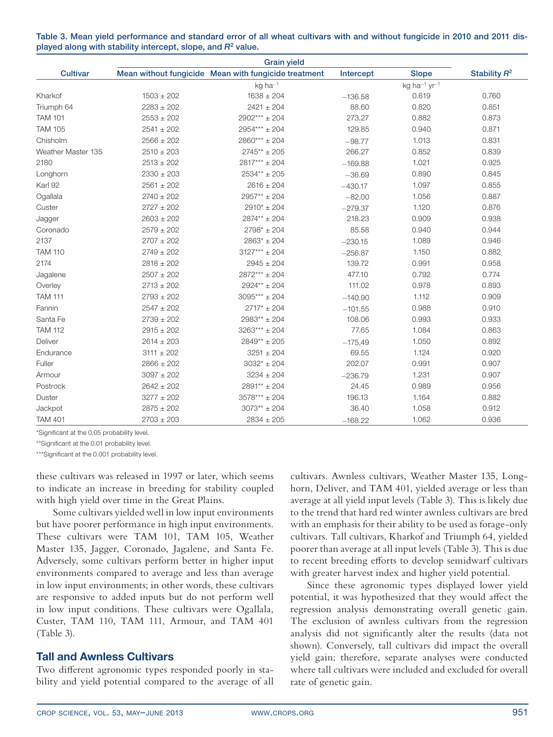| <b>Grain yield</b> |                |                                                      |           |                                        |                          |
|--------------------|----------------|------------------------------------------------------|-----------|----------------------------------------|--------------------------|
| <b>Cultivar</b>    |                | Mean without fungicide Mean with fungicide treatment | Intercept | <b>Slope</b>                           | Stability R <sup>2</sup> |
|                    |                | $kg$ ha <sup>-1</sup>                                |           | $kg$ ha <sup>-1</sup> yr <sup>-1</sup> |                          |
| Kharkof            | $1503 \pm 202$ | $1638 \pm 204$                                       | $-136.58$ | 0.619                                  | 0.760                    |
| Triumph 64         | $2283 \pm 202$ | $2421 \pm 204$                                       | 88.60     | 0.820                                  | 0.851                    |
| <b>TAM 101</b>     | $2553 \pm 202$ | $2902***$ ± 204                                      | 273.27    | 0.882                                  | 0.873                    |
| <b>TAM 105</b>     | $2541 \pm 202$ | $2954***$ ± 204                                      | 129.85    | 0.940                                  | 0.871                    |
| Chisholm           | $2566 \pm 202$ | $2860***$ ± 204                                      | $-98.77$  | 1.013                                  | 0.831                    |
| Weather Master 135 | $2510 \pm 203$ | $2745** \pm 205$                                     | 266.27    | 0.852                                  | 0.839                    |
| 2180               | $2513 \pm 202$ | $2817***$ ± 204                                      | $-169.88$ | 1.021                                  | 0.925                    |
| Longhorn           | $2330 \pm 203$ | $2534** + 205$                                       | $-36.69$  | 0.890                                  | 0.845                    |
| Karl 92            | $2561 \pm 202$ | $2616 \pm 204$                                       | $-430.17$ | 1.097                                  | 0.855                    |
| Ogallala           | $2740 \pm 202$ | $2957** + 204$                                       | $-82.00$  | 1.056                                  | 0.887                    |
| Custer             | $2727 \pm 202$ | $2910* + 204$                                        | $-279.37$ | 1.120                                  | 0.876                    |
| Jagger             | $2603 \pm 202$ | $2874** \pm 204$                                     | 218.23    | 0.909                                  | 0.938                    |
| Coronado           | $2579 \pm 202$ | $2798* + 204$                                        | 85.58     | 0.940                                  | 0.944                    |
| 2137               | $2707 \pm 202$ | $2863* + 204$                                        | $-230.15$ | 1.089                                  | 0.946                    |
| <b>TAM 110</b>     | $2749 \pm 202$ | $3127***$ ± 204                                      | $-256.87$ | 1.150                                  | 0.882                    |
| 2174               | $2818 \pm 202$ | $2945 \pm 204$                                       | 139.72    | 0.991                                  | 0.958                    |
| Jagalene           | $2507 \pm 202$ | $2872***$ ± 204                                      | 477.10    | 0.792                                  | 0.774                    |
| Overley            | $2713 \pm 202$ | $2924** + 204$                                       | 111.02    | 0.978                                  | 0.893                    |
| <b>TAM 111</b>     | $2793 \pm 202$ | $3095***$ ± 204                                      | $-140.90$ | 1.112                                  | 0.909                    |
| Fannin             | $2547 \pm 202$ | $2717* + 204$                                        | $-101.55$ | 0.988                                  | 0.910                    |
| Santa Fe           | $2739 \pm 202$ | $2983**$ ± 204                                       | 108.06    | 0.993                                  | 0.933                    |
| <b>TAM 112</b>     | $2915 \pm 202$ | $3263***$ ± 204                                      | 77.65     | 1.084                                  | 0.863                    |
| Deliver            | $2614 \pm 203$ | $2849** \pm 205$                                     | $-175.49$ | 1.050                                  | 0.892                    |
| Endurance          | $3111 \pm 202$ | $3251 \pm 204$                                       | 69.55     | 1.124                                  | 0.920                    |
| Fuller             | $2866 \pm 202$ | $3032* + 204$                                        | 202.07    | 0.991                                  | 0.907                    |
| Armour             | $3097 \pm 202$ | $3234 \pm 204$                                       | $-236.79$ | 1.231                                  | 0.907                    |
| Postrock           | $2642 \pm 202$ | $2891** + 204$                                       | 24.45     | 0.989                                  | 0.956                    |
| Duster             | $3277 \pm 202$ | $3578***$ ± 204                                      | 196.13    | 1.164                                  | 0.882                    |
| Jackpot            | $2875 \pm 202$ | $3073** + 204$                                       | 36.40     | 1.058                                  | 0.912                    |
| <b>TAM 401</b>     | $2703 \pm 203$ | $2834 \pm 205$                                       | $-168.22$ | 1.062                                  | 0.936                    |

Table 3. Mean yield performance and standard error of all wheat cultivars with and without fungicide in 2010 and 2011 displayed along with stability intercept, slope, and *R*2 value.

\*Significant at the 0.05 probability level.

\*\*Significant at the 0.01 probability level.

\*\*\*Significant at the 0.001 probability level.

these cultivars was released in 1997 or later, which seems to indicate an increase in breeding for stability coupled with high yield over time in the Great Plains.

Some cultivars yielded well in low input environments but have poorer performance in high input environments. These cultivars were TAM 101, TAM 105, Weather Master 135, Jagger, Coronado, Jagalene, and Santa Fe. Adversely, some cultivars perform better in higher input environments compared to average and less than average in low input environments; in other words, these cultivars are responsive to added inputs but do not perform well in low input conditions. These cultivars were Ogallala, Custer, TAM 110, TAM 111, Armour, and TAM 401 (Table 3).

#### Tall and Awnless Cultivars

Two different agronomic types responded poorly in stability and yield potential compared to the average of all cultivars. Awnless cultivars, Weather Master 135, Longhorn, Deliver, and TAM 401, yielded average or less than average at all yield input levels (Table 3). This is likely due to the trend that hard red winter awnless cultivars are bred with an emphasis for their ability to be used as forage-only cultivars. Tall cultivars, Kharkof and Triumph 64, yielded poorer than average at all input levels (Table 3). This is due to recent breeding efforts to develop semidwarf cultivars with greater harvest index and higher yield potential.

Since these agronomic types displayed lower yield potential, it was hypothesized that they would affect the regression analysis demonstrating overall genetic gain. The exclusion of awnless cultivars from the regression analysis did not significantly alter the results (data not shown). Conversely, tall cultivars did impact the overall yield gain; therefore, separate analyses were conducted where tall cultivars were included and excluded for overall rate of genetic gain.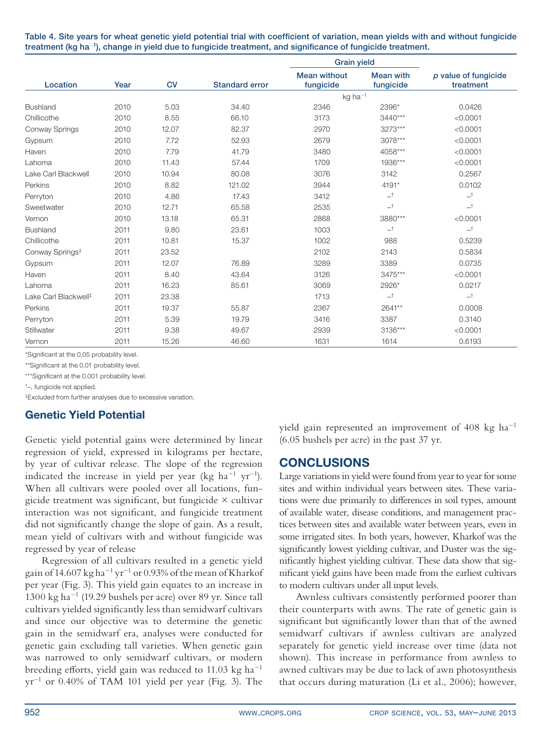Table 4. Site years for wheat genetic yield potential trial with coefficient of variation, mean yields with and without fungicide treatment (kg ha-1), change in yield due to fungicide treatment, and significance of fungicide treatment.

|                                  |      |           |                       | <b>Grain yield</b>               |                               |                                   |
|----------------------------------|------|-----------|-----------------------|----------------------------------|-------------------------------|-----------------------------------|
| Location                         | Year | <b>CV</b> | <b>Standard error</b> | <b>Mean without</b><br>fungicide | <b>Mean with</b><br>fungicide | p value of fungicide<br>treatment |
|                                  |      |           |                       | $kg$ ha <sup>-1</sup>            |                               |                                   |
| <b>Bushland</b>                  | 2010 | 5.03      | 34.40                 | 2346                             | 2396*                         | 0.0426                            |
| Chillicothe                      | 2010 | 8.55      | 66.10                 | 3173                             | 3440***                       | < 0.0001                          |
| Conway Springs                   | 2010 | 12.07     | 82.37                 | 2970                             | 3273***                       | < 0.0001                          |
| Gypsum                           | 2010 | 7.72      | 52.93                 | 2679                             | 3078***                       | < 0.0001                          |
| Haven                            | 2010 | 7.79      | 41.79                 | 3480                             | 4058***                       | < 0.0001                          |
| Lahoma                           | 2010 | 11.43     | 57.44                 | 1709                             | 1936***                       | < 0.0001                          |
| Lake Carl Blackwell              | 2010 | 10.94     | 80.08                 | 3076                             | 3142                          | 0.2567                            |
| Perkins                          | 2010 | 8.82      | 121.02                | 3944                             | 4191*                         | 0.0102                            |
| Perryton                         | 2010 | 4.86      | 17.43                 | 3412                             | $-$ †                         | $-$ †                             |
| Sweetwater                       | 2010 | 12.71     | 65.58                 | 2535                             | $-$ †                         | $-t$                              |
| Vernon                           | 2010 | 13.18     | 65.31                 | 2868                             | 3880***                       | < 0.0001                          |
| <b>Bushland</b>                  | 2011 | 9.80      | 23.61                 | 1003                             | $-$ †                         | $-^{\dagger}$                     |
| Chillicothe                      | 2011 | 10.81     | 15.37                 | 1002                             | 988                           | 0.5239                            |
| Conway Springs <sup>#</sup>      | 2011 | 23.52     |                       | 2102                             | 2143                          | 0.5834                            |
| Gypsum                           | 2011 | 12.07     | 76.89                 | 3289                             | 3389                          | 0.0735                            |
| Haven                            | 2011 | 8.40      | 43.64                 | 3126                             | 3475***                       | < 0.0001                          |
| Lahoma                           | 2011 | 16.23     | 85.61                 | 3069                             | 2926*                         | 0.0217                            |
| Lake Carl Blackwell <sup>‡</sup> | 2011 | 23.38     |                       | 1713                             | $\mathbf{-}^{\dagger}$        | $-$ †                             |
| Perkins                          | 2011 | 19.37     | 55.87                 | 2367                             | 2641**                        | 0.0008                            |
| Perryton                         | 2011 | 5.39      | 19.79                 | 3416                             | 3387                          | 0.3140                            |
| Stillwater                       | 2011 | 9.38      | 49.67                 | 2939                             | 3136***                       | < 0.0001                          |
| Vernon                           | 2011 | 15.26     | 46.60                 | 1631                             | 1614                          | 0.6193                            |

\*Significant at the 0.05 probability level.

\*\*Significant at the 0.01 probability level.

\*\*\*Significant at the 0.001 probability level.

†–, fungicide not applied.

‡Excluded from further analyses due to excessive variation.

## Genetic Yield Potential

Genetic yield potential gains were determined by linear regression of yield, expressed in kilograms per hectare, by year of cultivar release. The slope of the regression indicated the increase in yield per year (kg ha<sup>-1</sup> yr<sup>-1</sup>). When all cultivars were pooled over all locations, fungicide treatment was significant, but fungicide  $\times$  cultivar interaction was not significant, and fungicide treatment did not significantly change the slope of gain. As a result, mean yield of cultivars with and without fungicide was regressed by year of release

Regression of all cultivars resulted in a genetic yield gain of 14.607 kg ha<sup>-1</sup> yr<sup>-1</sup> or 0.93% of the mean of Kharkof per year (Fig. 3). This yield gain equates to an increase in 1300 kg ha-<sup>1</sup> (19.29 bushels per acre) over 89 yr. Since tall cultivars yielded significantly less than semidwarf cultivars and since our objective was to determine the genetic gain in the semidwarf era, analyses were conducted for genetic gain excluding tall varieties. When genetic gain was narrowed to only semidwarf cultivars, or modern breeding efforts, yield gain was reduced to 11.03 kg ha<sup>-1</sup>  $yr^{-1}$  or 0.40% of TAM 101 yield per year (Fig. 3). The

yield gain represented an improvement of 408 kg  $ha^{-1}$ (6.05 bushels per acre) in the past 37 yr.

# **CONCLUSIONS**

Large variations in yield were found from year to year for some sites and within individual years between sites. These variations were due primarily to differences in soil types, amount of available water, disease conditions, and management practices between sites and available water between years, even in some irrigated sites. In both years, however, Kharkof was the significantly lowest yielding cultivar, and Duster was the significantly highest yielding cultivar. These data show that significant yield gains have been made from the earliest cultivars to modern cultivars under all input levels.

Awnless cultivars consistently performed poorer than their counterparts with awns. The rate of genetic gain is significant but significantly lower than that of the awned semidwarf cultivars if awnless cultivars are analyzed separately for genetic yield increase over time (data not shown). This increase in performance from awnless to awned cultivars may be due to lack of awn photosynthesis that occurs during maturation (Li et al., 2006); however,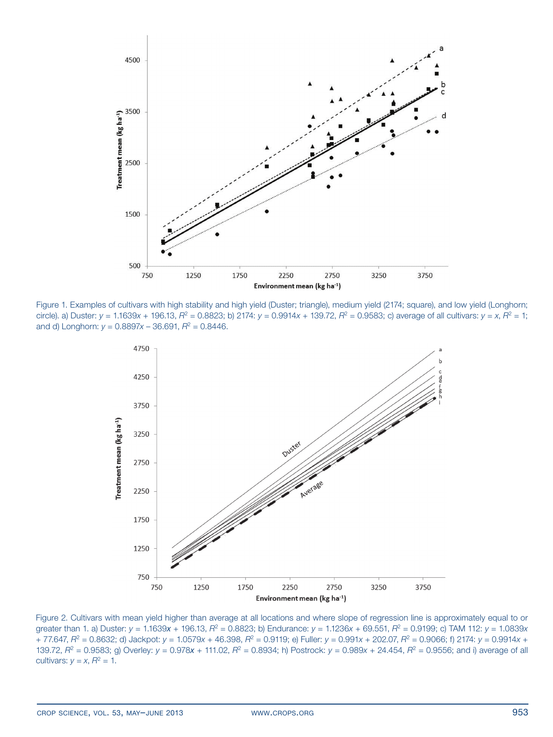

Figure 1. Examples of cultivars with high stability and high yield (Duster; triangle), medium yield (2174; square), and low yield (Longhorn; circle). a) Duster:  $y = 1.1639x + 196.13$ ,  $R^2 = 0.8823$ ; b) 2174:  $y = 0.9914x + 139.72$ ,  $R^2 = 0.9583$ ; c) average of all cultivars:  $y = x$ ,  $R^2 = 1$ ; and d) Longhorn: *y* = 0.8897*x* – 36.691, *R*2 = 0.8446.



Figure 2. Cultivars with mean yield higher than average at all locations and where slope of regression line is approximately equal to or greater than 1. a) Duster: *y* = 1.1639*x* + 196.13, *R*2 = 0.8823; b) Endurance: *y* = 1.1236*x* + 69.551, *R*2 = 0.9199; c) TAM 112: *y* = 1.0839*x* + 77.647, *R*2 = 0.8632; d) Jackpot: *y* = 1.0579*x* + 46.398, *R*2 = 0.9119; e) Fuller: *y* = 0.991*x* + 202.07, *R*2 = 0.9066; f) 2174: *y* = 0.9914*x* + 139.72,  $R^2 = 0.9583$ ; g) Overley:  $y = 0.978x + 111.02$ ,  $R^2 = 0.8934$ ; h) Postrock:  $y = 0.989x + 24.454$ ,  $R^2 = 0.9556$ ; and i) average of all cultivars:  $y = x$ ,  $R^2 = 1$ .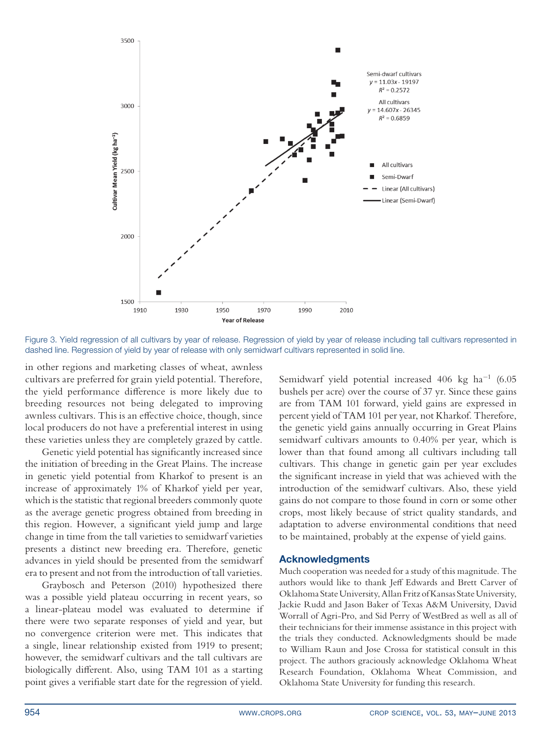

Figure 3. Yield regression of all cultivars by year of release. Regression of yield by year of release including tall cultivars represented in dashed line. Regression of yield by year of release with only semidwarf cultivars represented in solid line.

in other regions and marketing classes of wheat, awnless cultivars are preferred for grain yield potential. Therefore, the yield performance difference is more likely due to breeding resources not being delegated to improving awnless cultivars. This is an effective choice, though, since local producers do not have a preferential interest in using these varieties unless they are completely grazed by cattle.

Genetic yield potential has significantly increased since the initiation of breeding in the Great Plains. The increase in genetic yield potential from Kharkof to present is an increase of approximately 1% of Kharkof yield per year, which is the statistic that regional breeders commonly quote as the average genetic progress obtained from breeding in this region. However, a significant yield jump and large change in time from the tall varieties to semidwarf varieties presents a distinct new breeding era. Therefore, genetic advances in yield should be presented from the semidwarf era to present and not from the introduction of tall varieties.

Graybosch and Peterson (2010) hypothesized there was a possible yield plateau occurring in recent years, so a linear-plateau model was evaluated to determine if there were two separate responses of yield and year, but no convergence criterion were met. This indicates that a single, linear relationship existed from 1919 to present; however, the semidwarf cultivars and the tall cultivars are biologically different. Also, using TAM 101 as a starting point gives a verifiable start date for the regression of yield.

Semidwarf yield potential increased  $406$  kg  $ha^{-1}$  (6.05 bushels per acre) over the course of 37 yr. Since these gains are from TAM 101 forward, yield gains are expressed in percent yield of TAM 101 per year, not Kharkof. Therefore, the genetic yield gains annually occurring in Great Plains semidwarf cultivars amounts to 0.40% per year, which is lower than that found among all cultivars including tall cultivars. This change in genetic gain per year excludes the significant increase in yield that was achieved with the introduction of the semidwarf cultivars. Also, these yield gains do not compare to those found in corn or some other crops, most likely because of strict quality standards, and adaptation to adverse environmental conditions that need to be maintained, probably at the expense of yield gains.

#### Acknowledgments

Much cooperation was needed for a study of this magnitude. The authors would like to thank Jeff Edwards and Brett Carver of Oklahoma State University, Allan Fritz of Kansas State University, Jackie Rudd and Jason Baker of Texas A&M University, David Worrall of Agri-Pro, and Sid Perry of WestBred as well as all of their technicians for their immense assistance in this project with the trials they conducted. Acknowledgments should be made to William Raun and Jose Crossa for statistical consult in this project. The authors graciously acknowledge Oklahoma Wheat Research Foundation, Oklahoma Wheat Commission, and Oklahoma State University for funding this research.